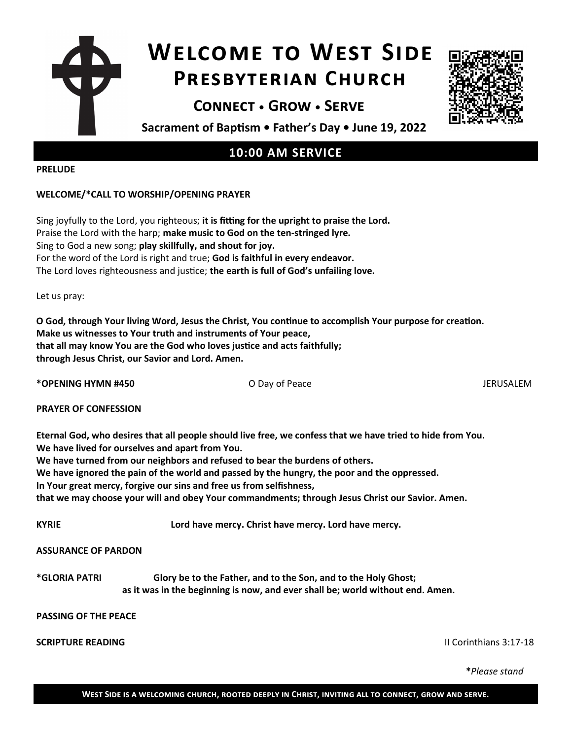# **Welcome to West Side Presbyterian Church**

**Connect • Grow • Serve**



**Sacrament of Baptism • Father's Day • June 19, 2022**

## **10:00 AM SERVICE**

#### **PRELUDE**

### **WELCOME/\*CALL TO WORSHIP/OPENING PRAYER**

Sing joyfully to the Lord, you righteous; **it is fitting for the upright to praise the Lord.** Praise the Lord with the harp; **make music to God on the ten-stringed lyre.** Sing to God a new song; **play skillfully, and shout for joy.** For the word of the Lord is right and true; **God is faithful in every endeavor.** The Lord loves righteousness and justice; **the earth is full of God's unfailing love.**

Let us pray:

**O God, through Your living Word, Jesus the Christ, You continue to accomplish Your purpose for creation. Make us witnesses to Your truth and instruments of Your peace, that all may know You are the God who loves justice and acts faithfully; through Jesus Christ, our Savior and Lord. Amen.**

**\*OPENING HYMN #450** O Day of Peace JERUSALEM

**PRAYER OF CONFESSION** 

**Eternal God, who desires that all people should live free, we confess that we have tried to hide from You. We have lived for ourselves and apart from You.**

**We have turned from our neighbors and refused to bear the burdens of others.**

**We have ignored the pain of the world and passed by the hungry, the poor and the oppressed.**

**In Your great mercy, forgive our sins and free us from selfishness,**

**that we may choose your will and obey Your commandments; through Jesus Christ our Savior. Amen.**

**KYRIE Lord have mercy. Christ have mercy. Lord have mercy.** 

#### **ASSURANCE OF PARDON**

**\*GLORIA PATRI Glory be to the Father, and to the Son, and to the Holy Ghost; as it was in the beginning is now, and ever shall be; world without end. Amen.** 

### **PASSING OF THE PEACE**

### **SCRIPTURE READING** II Corinthians 3:17-18

**\****Please stand*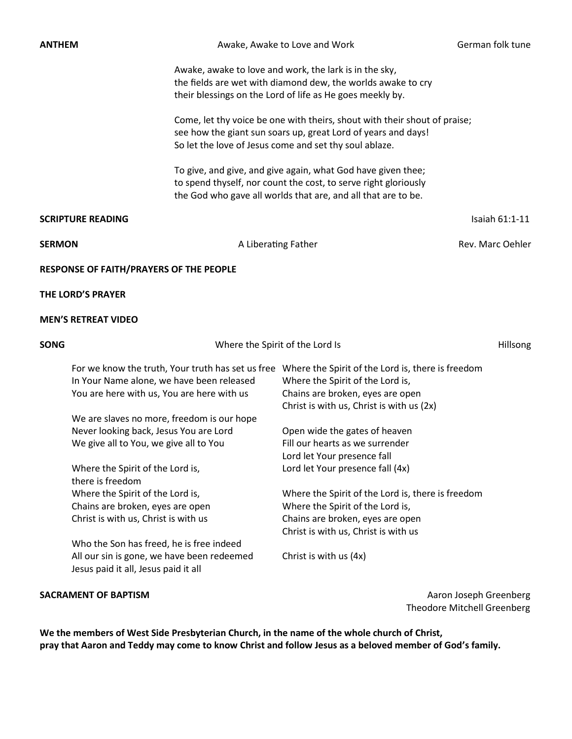Awake, Awake to Love and Work **German folk** tune

Awake, awake to love and work, the lark is in the sky, the fields are wet with diamond dew, the worlds awake to cry their blessings on the Lord of life as He goes meekly by.

Come, let thy voice be one with theirs, shout with their shout of praise; see how the giant sun soars up, great Lord of years and days! So let the love of Jesus come and set thy soul ablaze.

To give, and give, and give again, what God have given thee; to spend thyself, nor count the cost, to serve right gloriously the God who gave all worlds that are, and all that are to be.

#### **SCRIPTURE READING Island Contract Contract Contract Contract Contract Contract Contract Contract Contract Contract Contract Contract Contract Contract Contract Contract Contract Contract Contract Contract Contract Contr**

**SERMON A Liberating Father A Liberation A Liberation Rev. Marc Oehler Rev. Marc Oehler** 

**RESPONSE OF FAITH/PRAYERS OF THE PEOPLE**

**THE LORD'S PRAYER** 

#### **MEN'S RETREAT VIDEO**

| <b>SONG</b> | Where the Spirit of the Lord Is                                                                                                              |                                                                                                                                                                        | <b>Hillsong</b> |
|-------------|----------------------------------------------------------------------------------------------------------------------------------------------|------------------------------------------------------------------------------------------------------------------------------------------------------------------------|-----------------|
|             | For we know the truth, Your truth has set us free<br>In Your Name alone, we have been released<br>You are here with us, You are here with us | Where the Spirit of the Lord is, there is freedom<br>Where the Spirit of the Lord is,<br>Chains are broken, eyes are open<br>Christ is with us, Christ is with us (2x) |                 |
|             | We are slaves no more, freedom is our hope                                                                                                   |                                                                                                                                                                        |                 |
|             | Never looking back, Jesus You are Lord<br>We give all to You, we give all to You                                                             | Open wide the gates of heaven<br>Fill our hearts as we surrender<br>Lord let Your presence fall                                                                        |                 |
|             | Where the Spirit of the Lord is,<br>there is freedom                                                                                         | Lord let Your presence fall (4x)                                                                                                                                       |                 |
|             | Where the Spirit of the Lord is,                                                                                                             | Where the Spirit of the Lord is, there is freedom                                                                                                                      |                 |
|             | Chains are broken, eyes are open                                                                                                             | Where the Spirit of the Lord is,                                                                                                                                       |                 |
|             | Christ is with us, Christ is with us                                                                                                         | Chains are broken, eyes are open                                                                                                                                       |                 |
|             |                                                                                                                                              | Christ is with us, Christ is with us                                                                                                                                   |                 |
|             | Who the Son has freed, he is free indeed                                                                                                     |                                                                                                                                                                        |                 |
|             | All our sin is gone, we have been redeemed<br>Jesus paid it all, Jesus paid it all                                                           | Christ is with us (4x)                                                                                                                                                 |                 |

**SACRAMENT OF BAPTISM** Aaron Joseph Greenberg Theodore Mitchell Greenberg

**We the members of West Side Presbyterian Church, in the name of the whole church of Christ, pray that Aaron and Teddy may come to know Christ and follow Jesus as a beloved member of God's family.**